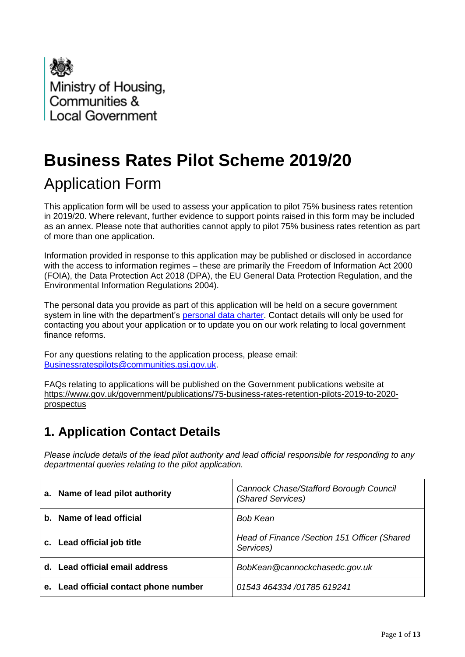

# **Business Rates Pilot Scheme 2019/20**

## Application Form

This application form will be used to assess your application to pilot 75% business rates retention in 2019/20. Where relevant, further evidence to support points raised in this form may be included as an annex. Please note that authorities cannot apply to pilot 75% business rates retention as part of more than one application.

Information provided in response to this application may be published or disclosed in accordance with the access to information regimes – these are primarily the Freedom of Information Act 2000 (FOIA), the Data Protection Act 2018 (DPA), the EU General Data Protection Regulation, and the Environmental Information Regulations 2004).

The personal data you provide as part of this application will be held on a secure government system in line with the department's [personal data charter.](https://www.gov.uk/government/organisations/ministry-of-housing-communities-and-local-government/about/personal-information-charter) Contact details will only be used for contacting you about your application or to update you on our work relating to local government finance reforms.

For any questions relating to the application process, please email: [Businessratespilots@communities.gsi.gov.uk.](mailto:Businessratespilots@communities.gsi.gov.uk)

FAQs relating to applications will be published on the Government publications website at https://www.gov.uk/government/publications/75-business-rates-retention-pilots-2019-to-2020 prospectus

#### **1. Application Contact Details**

*Please include details of the lead pilot authority and lead official responsible for responding to any departmental queries relating to the pilot application.*

|                                             | a. Name of lead pilot authority       | Cannock Chase/Stafford Borough Council<br>(Shared Services) |
|---------------------------------------------|---------------------------------------|-------------------------------------------------------------|
| b. Name of lead official<br><b>Bob Kean</b> |                                       |                                                             |
|                                             | c. Lead official job title            | Head of Finance / Section 151 Officer (Shared<br>Services)  |
|                                             | d. Lead official email address        | BobKean@cannockchasedc.gov.uk                               |
|                                             | e. Lead official contact phone number | 01543 464334 /01785 619241                                  |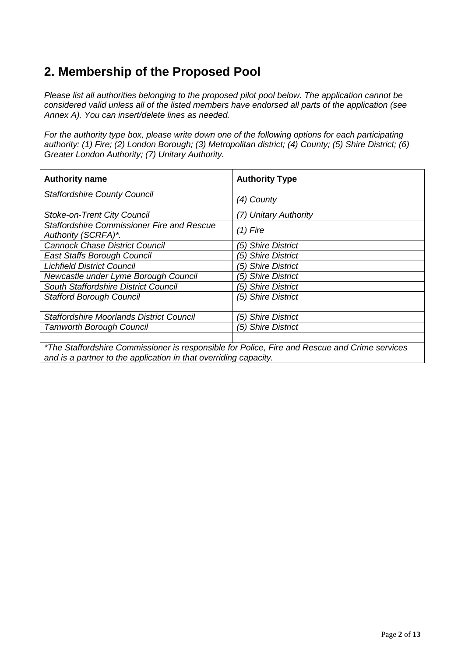### **2. Membership of the Proposed Pool**

*Please list all authorities belonging to the proposed pilot pool below. The application cannot be considered valid unless all of the listed members have endorsed all parts of the application (see Annex A). You can insert/delete lines as needed.*

*For the authority type box, please write down one of the following options for each participating authority: (1) Fire; (2) London Borough; (3) Metropolitan district; (4) County; (5) Shire District; (6) Greater London Authority; (7) Unitary Authority.*

| <b>Authority name</b>                                                    | <b>Authority Type</b> |
|--------------------------------------------------------------------------|-----------------------|
| <b>Staffordshire County Council</b>                                      | (4) County            |
| <b>Stoke-on-Trent City Council</b>                                       | (7) Unitary Authority |
| <b>Staffordshire Commissioner Fire and Rescue</b><br>Authority (SCRFA)*. | $(1)$ Fire            |
| <b>Cannock Chase District Council</b>                                    | (5) Shire District    |
| East Staffs Borough Council                                              | (5) Shire District    |
| <b>Lichfield District Council</b>                                        | (5) Shire District    |
| Newcastle under Lyme Borough Council                                     | (5) Shire District    |
| South Staffordshire District Council                                     | (5) Shire District    |
| <b>Stafford Borough Council</b>                                          | (5) Shire District    |
| <b>Staffordshire Moorlands District Council</b>                          | (5) Shire District    |
| <b>Tamworth Borough Council</b>                                          | (5) Shire District    |
|                                                                          |                       |

*\*The Staffordshire Commissioner is responsible for Police, Fire and Rescue and Crime services and is a partner to the application in that overriding capacity.*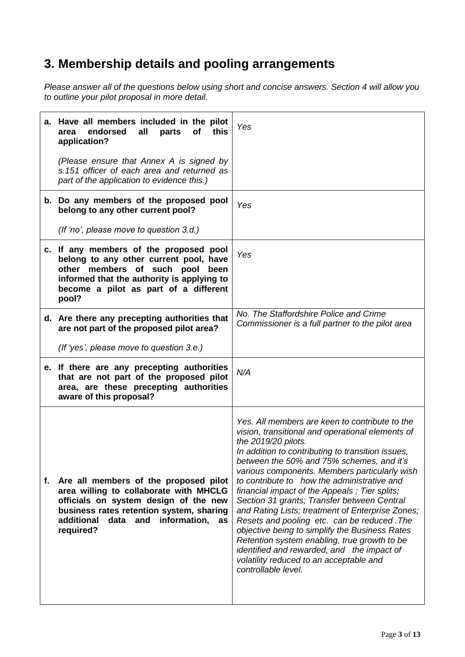### **3. Membership details and pooling arrangements**

*Please answer all of the questions below using short and concise answers. Section 4 will allow you to outline your pilot proposal in more detail.* 

|    | a. Have all members included in the pilot<br>endorsed<br>all<br>parts<br>of<br>this<br>area<br>application?                                                                                                                          | Yes                                                                                                                                                                                                                                                                                                                                                                                                                                                                                                                                                                                                                                                                                                                                              |
|----|--------------------------------------------------------------------------------------------------------------------------------------------------------------------------------------------------------------------------------------|--------------------------------------------------------------------------------------------------------------------------------------------------------------------------------------------------------------------------------------------------------------------------------------------------------------------------------------------------------------------------------------------------------------------------------------------------------------------------------------------------------------------------------------------------------------------------------------------------------------------------------------------------------------------------------------------------------------------------------------------------|
|    | (Please ensure that Annex A is signed by<br>s.151 officer of each area and returned as<br>part of the application to evidence this.)                                                                                                 |                                                                                                                                                                                                                                                                                                                                                                                                                                                                                                                                                                                                                                                                                                                                                  |
|    | b. Do any members of the proposed pool<br>belong to any other current pool?                                                                                                                                                          | Yes                                                                                                                                                                                                                                                                                                                                                                                                                                                                                                                                                                                                                                                                                                                                              |
|    | (If 'no', please move to question 3.d.)                                                                                                                                                                                              |                                                                                                                                                                                                                                                                                                                                                                                                                                                                                                                                                                                                                                                                                                                                                  |
|    | c. If any members of the proposed pool<br>belong to any other current pool, have<br>other members of such pool<br>been<br>informed that the authority is applying to<br>become a pilot as part of a different<br>pool?               | Yes                                                                                                                                                                                                                                                                                                                                                                                                                                                                                                                                                                                                                                                                                                                                              |
|    | d. Are there any precepting authorities that<br>are not part of the proposed pilot area?                                                                                                                                             | No. The Staffordshire Police and Crime<br>Commissioner is a full partner to the pilot area                                                                                                                                                                                                                                                                                                                                                                                                                                                                                                                                                                                                                                                       |
|    | (If 'yes', please move to question 3.e.)                                                                                                                                                                                             |                                                                                                                                                                                                                                                                                                                                                                                                                                                                                                                                                                                                                                                                                                                                                  |
|    | e. If there are any precepting authorities<br>that are not part of the proposed pilot<br>area, are these precepting authorities<br>aware of this proposal?                                                                           | N/A                                                                                                                                                                                                                                                                                                                                                                                                                                                                                                                                                                                                                                                                                                                                              |
| f. | Are all members of the proposed pilot<br>area willing to collaborate with MHCLG<br>officials on system design of the new<br>business rates retention system, sharing<br>additional<br>data<br>information,<br>and<br>as<br>required? | Yes. All members are keen to contribute to the<br>vision, transitional and operational elements of<br>the 2019/20 pilots.<br>In addition to contributing to transition issues,<br>between the 50% and 75% schemes, and it's<br>various components. Members particularly wish<br>to contribute to how the administrative and<br>financial impact of the Appeals; Tier splits;<br>Section 31 grants; Transfer between Central<br>and Rating Lists; treatment of Enterprise Zones;<br>Resets and pooling etc. can be reduced. The<br>objective being to simplify the Business Rates<br>Retention system enabling, true growth to be<br>identified and rewarded, and the impact of<br>volatility reduced to an acceptable and<br>controllable level. |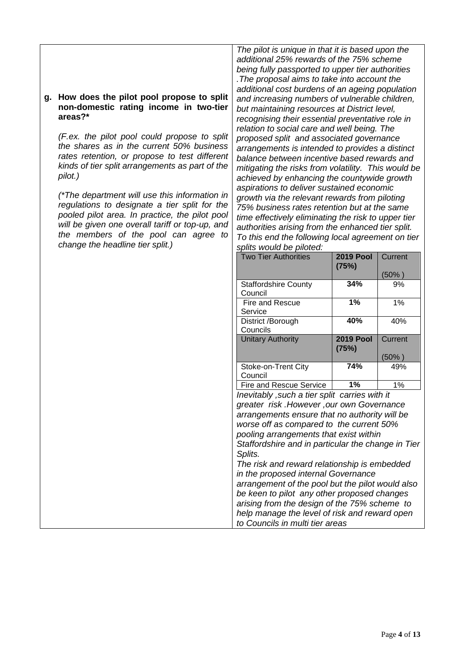#### **g. How does the pilot pool propose to split non-domestic rating income in two-tier areas?\***

*(F.ex. the pilot pool could propose to split the shares as in the current 50% business rates retention, or propose to test different kinds of tier split arrangements as part of the pilot.)*

*(\*The department will use this information in regulations to designate a tier split for the pooled pilot area. In practice, the pilot pool will be given one overall tariff or top-up, and the members of the pool can agree to change the headline tier split.)*

*The pilot is unique in that it is based upon the additional 25% rewards of the 75% scheme being fully passported to upper tier authorities .The proposal aims to take into account the additional cost burdens of an ageing population and increasing numbers of vulnerable children, but maintaining resources at District level, recognising their essential preventative role in relation to social care and well being. The proposed split and associated governance arrangements is intended to provides a distinct balance between incentive based rewards and mitigating the risks from volatility. This would be achieved by enhancing the countywide growth aspirations to deliver sustained economic growth via the relevant rewards from piloting 75% business rates retention but at the same time effectively eliminating the risk to upper tier authorities arising from the enhanced tier split. To this end the following local agreement on tier splits would be piloted:*

| spiits wuulu be piioteu.    |                           |         |
|-----------------------------|---------------------------|---------|
| <b>Two Tier Authorities</b> | <b>2019 Pool</b><br>(75%) | Current |
|                             |                           | (50% )  |
| <b>Staffordshire County</b> | 34%                       | 9%      |
| Council                     |                           |         |
| <b>Fire and Rescue</b>      | 1%                        | 1%      |
| Service                     |                           |         |
| District /Borough           | 40%                       | 40%     |
| Councils                    |                           |         |
| <b>Unitary Authority</b>    | <b>2019 Pool</b><br>(75%) | Current |
|                             |                           | (50% )  |
| Stoke-on-Trent City         | 74%                       | 49%     |
| Council                     |                           |         |
| Fire and Rescue Service     | 1%                        | 1%      |

*Inevitably ,such a tier split carries with it greater risk .However ,our own Governance arrangements ensure that no authority will be worse off as compared to the current 50% pooling arrangements that exist within Staffordshire and in particular the change in Tier Splits.*

*The risk and reward relationship is embedded in the proposed internal Governance arrangement of the pool but the pilot would also be keen to pilot any other proposed changes arising from the design of the 75% scheme to help manage the level of risk and reward open to Councils in multi tier areas*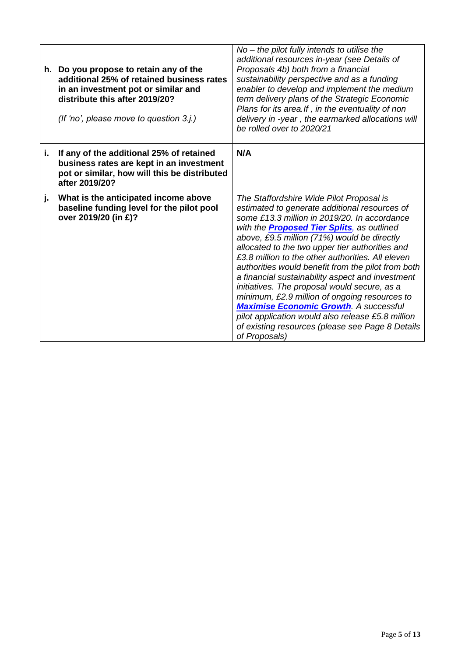|    | h. Do you propose to retain any of the<br>additional 25% of retained business rates<br>in an investment pot or similar and<br>distribute this after 2019/20?<br>(If 'no', please move to question 3.j.) | $No$ – the pilot fully intends to utilise the<br>additional resources in-year (see Details of<br>Proposals 4b) both from a financial<br>sustainability perspective and as a funding<br>enabler to develop and implement the medium<br>term delivery plans of the Strategic Economic<br>Plans for its area. If, in the eventuality of non<br>delivery in -year, the earmarked allocations will<br>be rolled over to 2020/21                                                                                                                                                                                                                                                                                                                   |
|----|---------------------------------------------------------------------------------------------------------------------------------------------------------------------------------------------------------|----------------------------------------------------------------------------------------------------------------------------------------------------------------------------------------------------------------------------------------------------------------------------------------------------------------------------------------------------------------------------------------------------------------------------------------------------------------------------------------------------------------------------------------------------------------------------------------------------------------------------------------------------------------------------------------------------------------------------------------------|
| i. | If any of the additional 25% of retained<br>business rates are kept in an investment<br>pot or similar, how will this be distributed<br>after 2019/20?                                                  | N/A                                                                                                                                                                                                                                                                                                                                                                                                                                                                                                                                                                                                                                                                                                                                          |
| j. | What is the anticipated income above<br>baseline funding level for the pilot pool<br>over 2019/20 (in £)?                                                                                               | The Staffordshire Wide Pilot Proposal is<br>estimated to generate additional resources of<br>some £13.3 million in 2019/20. In accordance<br>with the <b>Proposed Tier Splits</b> , as outlined<br>above, £9.5 million (71%) would be directly<br>allocated to the two upper tier authorities and<br>£3.8 million to the other authorities. All eleven<br>authorities would benefit from the pilot from both<br>a financial sustainability aspect and investment<br>initiatives. The proposal would secure, as a<br>minimum, £2.9 million of ongoing resources to<br><b>Maximise Economic Growth. A successful</b><br>pilot application would also release £5.8 million<br>of existing resources (please see Page 8 Details<br>of Proposals) |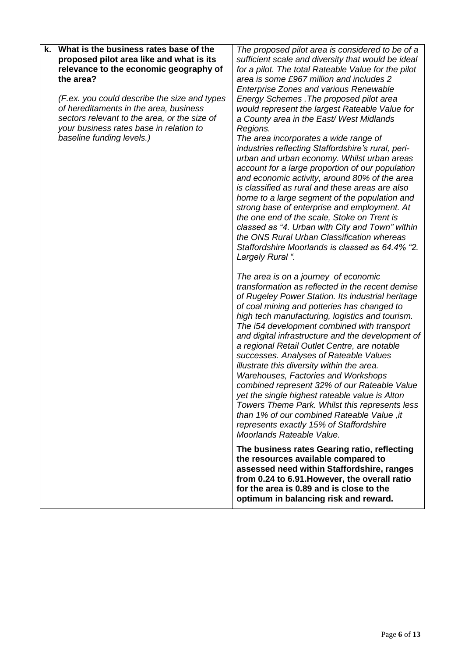| k. What is the business rates base of the<br>proposed pilot area like and what is its<br>relevance to the economic geography of<br>the area?<br>(F.ex. you could describe the size and types<br>of hereditaments in the area, business<br>sectors relevant to the area, or the size of | The proposed pilot area is considered to be of a<br>sufficient scale and diversity that would be ideal<br>for a pilot. The total Rateable Value for the pilot<br>area is some £967 million and includes 2<br><b>Enterprise Zones and various Renewable</b><br>Energy Schemes. The proposed pilot area<br>would represent the largest Rateable Value for<br>a County area in the East/West Midlands                                                                                                                                                                                                                                                                                                                                                                                                                  |
|----------------------------------------------------------------------------------------------------------------------------------------------------------------------------------------------------------------------------------------------------------------------------------------|---------------------------------------------------------------------------------------------------------------------------------------------------------------------------------------------------------------------------------------------------------------------------------------------------------------------------------------------------------------------------------------------------------------------------------------------------------------------------------------------------------------------------------------------------------------------------------------------------------------------------------------------------------------------------------------------------------------------------------------------------------------------------------------------------------------------|
| your business rates base in relation to<br>baseline funding levels.)                                                                                                                                                                                                                   | Regions.<br>The area incorporates a wide range of<br>industries reflecting Staffordshire's rural, peri-<br>urban and urban economy. Whilst urban areas<br>account for a large proportion of our population<br>and economic activity, around 80% of the area<br>is classified as rural and these areas are also<br>home to a large segment of the population and<br>strong base of enterprise and employment. At<br>the one end of the scale, Stoke on Trent is<br>classed as "4. Urban with City and Town" within<br>the ONS Rural Urban Classification whereas<br>Staffordshire Moorlands is classed as 64.4% "2.<br>Largely Rural ".                                                                                                                                                                              |
|                                                                                                                                                                                                                                                                                        | The area is on a journey of economic<br>transformation as reflected in the recent demise<br>of Rugeley Power Station. Its industrial heritage<br>of coal mining and potteries has changed to<br>high tech manufacturing, logistics and tourism.<br>The i54 development combined with transport<br>and digital infrastructure and the development of<br>a regional Retail Outlet Centre, are notable<br>successes. Analyses of Rateable Values<br>illustrate this diversity within the area.<br><b>Warehouses, Factories and Workshops</b><br>combined represent 32% of our Rateable Value<br>yet the single highest rateable value is Alton<br>Towers Theme Park. Whilst this represents less<br>than 1% of our combined Rateable Value, it<br>represents exactly 15% of Staffordshire<br>Moorlands Rateable Value. |
|                                                                                                                                                                                                                                                                                        | The business rates Gearing ratio, reflecting<br>the resources available compared to<br>assessed need within Staffordshire, ranges<br>from 0.24 to 6.91. However, the overall ratio<br>for the area is 0.89 and is close to the<br>optimum in balancing risk and reward.                                                                                                                                                                                                                                                                                                                                                                                                                                                                                                                                             |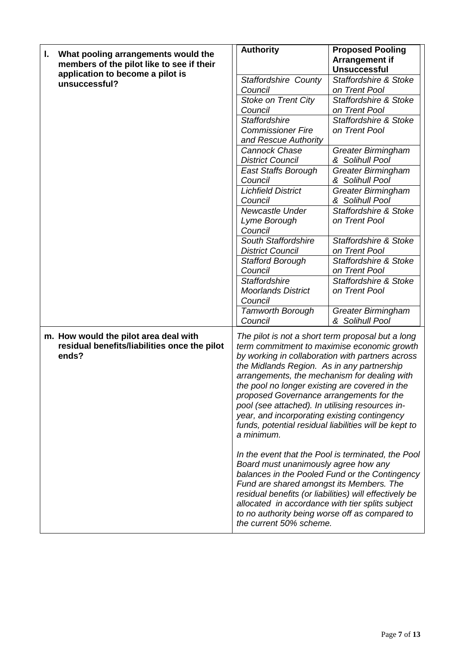| What pooling arrangements would the<br>I.                                                      | <b>Authority</b><br><b>Proposed Pooling</b>                                                                                                                                                                                                                                                                                                                                                                                                                                                                                                                                                                              |  |  |
|------------------------------------------------------------------------------------------------|--------------------------------------------------------------------------------------------------------------------------------------------------------------------------------------------------------------------------------------------------------------------------------------------------------------------------------------------------------------------------------------------------------------------------------------------------------------------------------------------------------------------------------------------------------------------------------------------------------------------------|--|--|
| members of the pilot like to see if their                                                      | <b>Arrangement if</b><br><b>Unsuccessful</b>                                                                                                                                                                                                                                                                                                                                                                                                                                                                                                                                                                             |  |  |
| application to become a pilot is                                                               | <b>Staffordshire &amp; Stoke</b><br><b>Staffordshire County</b>                                                                                                                                                                                                                                                                                                                                                                                                                                                                                                                                                          |  |  |
| unsuccessful?                                                                                  | on Trent Pool<br>Council                                                                                                                                                                                                                                                                                                                                                                                                                                                                                                                                                                                                 |  |  |
|                                                                                                | Stoke on Trent City<br><b>Staffordshire &amp; Stoke</b>                                                                                                                                                                                                                                                                                                                                                                                                                                                                                                                                                                  |  |  |
|                                                                                                | Council<br>on Trent Pool                                                                                                                                                                                                                                                                                                                                                                                                                                                                                                                                                                                                 |  |  |
|                                                                                                | <b>Staffordshire</b><br><b>Staffordshire &amp; Stoke</b>                                                                                                                                                                                                                                                                                                                                                                                                                                                                                                                                                                 |  |  |
|                                                                                                | <b>Commissioner Fire</b><br>on Trent Pool                                                                                                                                                                                                                                                                                                                                                                                                                                                                                                                                                                                |  |  |
|                                                                                                | and Rescue Authority                                                                                                                                                                                                                                                                                                                                                                                                                                                                                                                                                                                                     |  |  |
|                                                                                                | <b>Cannock Chase</b><br><b>Greater Birmingham</b>                                                                                                                                                                                                                                                                                                                                                                                                                                                                                                                                                                        |  |  |
|                                                                                                | <b>District Council</b><br>& Solihull Pool                                                                                                                                                                                                                                                                                                                                                                                                                                                                                                                                                                               |  |  |
|                                                                                                | <b>Greater Birmingham</b><br><b>East Staffs Borough</b>                                                                                                                                                                                                                                                                                                                                                                                                                                                                                                                                                                  |  |  |
|                                                                                                | Council<br>& Solihull Pool                                                                                                                                                                                                                                                                                                                                                                                                                                                                                                                                                                                               |  |  |
|                                                                                                | <b>Lichfield District</b><br><b>Greater Birmingham</b>                                                                                                                                                                                                                                                                                                                                                                                                                                                                                                                                                                   |  |  |
|                                                                                                | & Solihull Pool<br>Council                                                                                                                                                                                                                                                                                                                                                                                                                                                                                                                                                                                               |  |  |
|                                                                                                | <b>Staffordshire &amp; Stoke</b><br>Newcastle Under                                                                                                                                                                                                                                                                                                                                                                                                                                                                                                                                                                      |  |  |
|                                                                                                | Lyme Borough<br>on Trent Pool                                                                                                                                                                                                                                                                                                                                                                                                                                                                                                                                                                                            |  |  |
|                                                                                                | Council<br><b>South Staffordshire</b><br><b>Staffordshire &amp; Stoke</b>                                                                                                                                                                                                                                                                                                                                                                                                                                                                                                                                                |  |  |
|                                                                                                | <b>District Council</b><br>on Trent Pool                                                                                                                                                                                                                                                                                                                                                                                                                                                                                                                                                                                 |  |  |
|                                                                                                | <b>Stafford Borough</b><br><b>Staffordshire &amp; Stoke</b>                                                                                                                                                                                                                                                                                                                                                                                                                                                                                                                                                              |  |  |
|                                                                                                | Council<br>on Trent Pool                                                                                                                                                                                                                                                                                                                                                                                                                                                                                                                                                                                                 |  |  |
|                                                                                                | Staffordshire & Stoke<br><b>Staffordshire</b>                                                                                                                                                                                                                                                                                                                                                                                                                                                                                                                                                                            |  |  |
|                                                                                                | <b>Moorlands District</b><br>on Trent Pool                                                                                                                                                                                                                                                                                                                                                                                                                                                                                                                                                                               |  |  |
|                                                                                                | Council                                                                                                                                                                                                                                                                                                                                                                                                                                                                                                                                                                                                                  |  |  |
|                                                                                                | <b>Tamworth Borough</b><br><b>Greater Birmingham</b>                                                                                                                                                                                                                                                                                                                                                                                                                                                                                                                                                                     |  |  |
|                                                                                                | Council<br>& Solihull Pool                                                                                                                                                                                                                                                                                                                                                                                                                                                                                                                                                                                               |  |  |
| m. How would the pilot area deal with<br>residual benefits/liabilities once the pilot<br>ends? | The pilot is not a short term proposal but a long<br>term commitment to maximise economic growth<br>by working in collaboration with partners across<br>the Midlands Region. As in any partnership<br>arrangements, the mechanism for dealing with<br>the pool no longer existing are covered in the<br>proposed Governance arrangements for the<br>pool (see attached). In utilising resources in-<br>year, and incorporating existing contingency<br>funds, potential residual liabilities will be kept to<br>a minimum.<br>In the event that the Pool is terminated, the Pool<br>Board must unanimously agree how any |  |  |
|                                                                                                | balances in the Pooled Fund or the Contingency<br>Fund are shared amongst its Members. The<br>residual benefits (or liabilities) will effectively be<br>allocated in accordance with tier splits subject<br>to no authority being worse off as compared to<br>the current 50% scheme.                                                                                                                                                                                                                                                                                                                                    |  |  |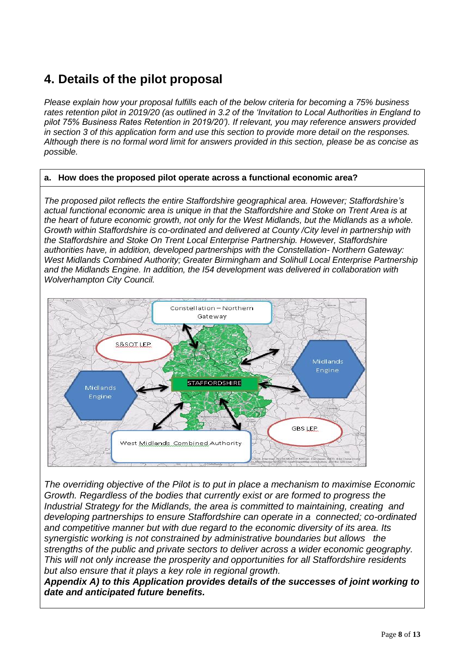### **4. Details of the pilot proposal**

*Please explain how your proposal fulfills each of the below criteria for becoming a 75% business rates retention pilot in 2019/20 (as outlined in 3.2 of the 'Invitation to Local Authorities in England to pilot 75% Business Rates Retention in 2019/20'). If relevant, you may reference answers provided in section 3 of this application form and use this section to provide more detail on the responses. Although there is no formal word limit for answers provided in this section, please be as concise as possible.*

#### **a. How does the proposed pilot operate across a functional economic area?**

*The proposed pilot reflects the entire Staffordshire geographical area. However; Staffordshire's actual functional economic area is unique in that the Staffordshire and Stoke on Trent Area is at the heart of future economic growth, not only for the West Midlands, but the Midlands as a whole. Growth within Staffordshire is co-ordinated and delivered at County /City level in partnership with the Staffordshire and Stoke On Trent Local Enterprise Partnership. However, Staffordshire authorities have, in addition, developed partnerships with the Constellation- Northern Gateway: West Midlands Combined Authority; Greater Birmingham and Solihull Local Enterprise Partnership and the Midlands Engine. In addition, the I54 development was delivered in collaboration with Wolverhampton City Council.*



*The overriding objective of the Pilot is to put in place a mechanism to maximise Economic Growth. Regardless of the bodies that currently exist or are formed to progress the Industrial Strategy for the Midlands, the area is committed to maintaining, creating and developing partnerships to ensure Staffordshire can operate in a connected; co-ordinated and competitive manner but with due regard to the economic diversity of its area. Its synergistic working is not constrained by administrative boundaries but allows the strengths of the public and private sectors to deliver across a wider economic geography. This will not only increase the prosperity and opportunities for all Staffordshire residents but also ensure that it plays a key role in regional growth.*

*Appendix A) to this Application provides details of the successes of joint working to date and anticipated future benefits.*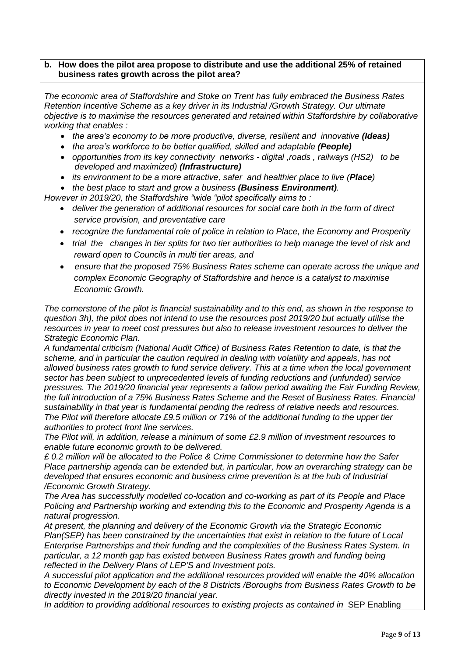#### **b. How does the pilot area propose to distribute and use the additional 25% of retained business rates growth across the pilot area?**

*The economic area of Staffordshire and Stoke on Trent has fully embraced the Business Rates Retention Incentive Scheme as a key driver in its Industrial /Growth Strategy. Our ultimate objective is to maximise the resources generated and retained within Staffordshire by collaborative working that enables :*

- *the area's economy to be more productive, diverse, resilient and innovative (Ideas)*
- the area's workforce to be better qualified, skilled and adaptable *(People)*
- *opportunities from its key connectivity networks - digital ,roads , railways (HS2) to be developed and maximized) (Infrastructure)*
- *its environment to be a more attractive, safer and healthier place to live (Place)*

*the best place to start and grow a business (Business Environment).*

*However in 2019/20, the Staffordshire "wide "pilot specifically aims to :* 

- *deliver the generation of additional resources for social care both in the form of direct service provision, and preventative care*
- *recognize the fundamental role of police in relation to Place, the Economy and Prosperity*
- *trial the changes in tier splits for two tier authorities to help manage the level of risk and reward open to Councils in multi tier areas, and*
- *ensure that the proposed 75% Business Rates scheme can operate across the unique and complex Economic Geography of Staffordshire and hence is a catalyst to maximise Economic Growth.*

*The cornerstone of the pilot is financial sustainability and to this end, as shown in the response to question 3h), the pilot does not intend to use the resources post 2019/20 but actually utilise the resources in year to meet cost pressures but also to release investment resources to deliver the Strategic Economic Plan.*

*A fundamental criticism (National Audit Office) of Business Rates Retention to date, is that the scheme, and in particular the caution required in dealing with volatility and appeals, has not allowed business rates growth to fund service delivery. This at a time when the local government sector has been subject to unprecedented levels of funding reductions and (unfunded) service pressures. The 2019/20 financial year represents a fallow period awaiting the Fair Funding Review, the full introduction of a 75% Business Rates Scheme and the Reset of Business Rates. Financial sustainability in that year is fundamental pending the redress of relative needs and resources. The Pilot will therefore allocate £9.5 million or 71% of the additional funding to the upper tier authorities to protect front line services.* 

*The Pilot will, in addition, release a minimum of some £2.9 million of investment resources to enable future economic growth to be delivered.*

*£ 0.2 million will be allocated to the Police & Crime Commissioner to determine how the Safer Place partnership agenda can be extended but, in particular, how an overarching strategy can be*  developed that ensures economic and business crime prevention is at the hub of Industrial */Economic Growth Strategy.*

*The Area has successfully modelled co-location and co-working as part of its People and Place Policing and Partnership working and extending this to the Economic and Prosperity Agenda is a natural progression.* 

*At present, the planning and delivery of the Economic Growth via the Strategic Economic Plan(SEP) has been constrained by the uncertainties that exist in relation to the future of Local Enterprise Partnerships and their funding and the complexities of the Business Rates System. In particular, a 12 month gap has existed between Business Rates growth and funding being reflected in the Delivery Plans of LEP'S and Investment pots.*

*A successful pilot application and the additional resources provided will enable the 40% allocation to Economic Development by each of the 8 Districts /Boroughs from Business Rates Growth to be directly invested in the 2019/20 financial year.*

In addition to providing additional resources to existing projects as contained in SEP Enabling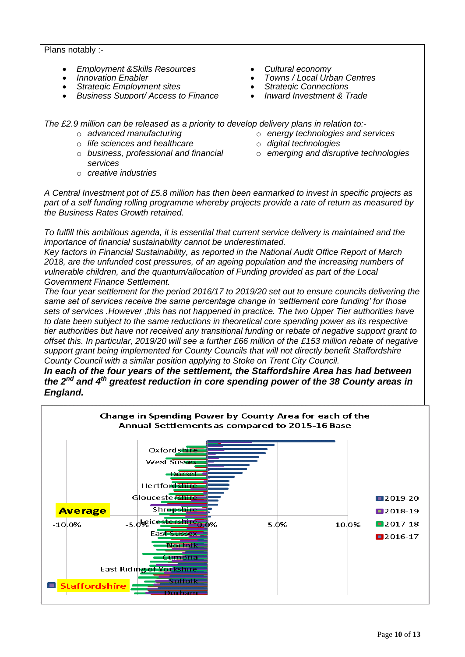Plans notably :-

- *Employment &Skills Resources Cultural economy*
- 
- 
- *Strategic Employment sites Strategic Connections Business Support/ Access to Finance*
- 
- *<i>Towns / Local Urban Centres Strategic Connections* 
	-
	-

*The £2.9 million can be released as a priority to develop delivery plans in relation to:-*

- o *advanced manufacturing*
- o *life sciences and healthcare*
- o *business, professional and financial services*
	-
- o *energy technologies and services*
- o *digital technologies*
- o *emerging and disruptive technologies*

o *creative industries*

*A Central Investment pot of £5.8 million has then been earmarked to invest in specific projects as part of a self funding rolling programme whereby projects provide a rate of return as measured by the Business Rates Growth retained.*

*To fulfill this ambitious agenda, it is essential that current service delivery is maintained and the importance of financial sustainability cannot be underestimated.*

*Key factors in Financial Sustainability, as reported in the National Audit Office Report of March 2018, are the unfunded cost pressures, of an ageing population and the increasing numbers of vulnerable children, and the quantum/allocation of Funding provided as part of the Local Government Finance Settlement.*

*The four year settlement for the period 2016/17 to 2019/20 set out to ensure councils delivering the same set of services receive the same percentage change in 'settlement core funding' for those sets of services .However ,this has not happened in practice. The two Upper Tier authorities have to date been subject to the same reductions in theoretical core spending power as its respective tier authorities but have not received any transitional funding or rebate of negative support grant to offset this. In particular, 2019/20 will see a further £66 million of the £153 million rebate of negative support grant being implemented for County Councils that will not directly benefit Staffordshire County Council with a similar position applying to Stoke on Trent City Council.* 

*In each of the four years of the settlement, the Staffordshire Area has had between the 2nd and 4th greatest reduction in core spending power of the 38 County areas in England.* 

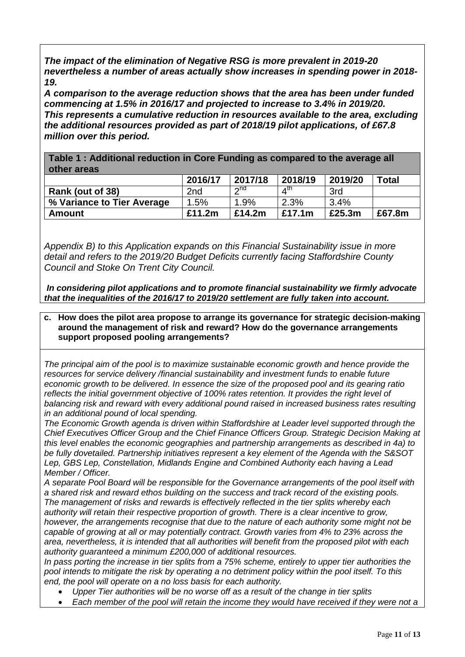*The impact of the elimination of Negative RSG is more prevalent in 2019-20 nevertheless a number of areas actually show increases in spending power in 2018- 19.*

*A comparison to the average reduction shows that the area has been under funded commencing at 1.5% in 2016/17 and projected to increase to 3.4% in 2019/20. This represents a cumulative reduction in resources available to the area, excluding the additional resources provided as part of 2018/19 pilot applications, of £67.8 million over this period.* 

**Table 1 : Additional reduction in Core Funding as compared to the average all other areas**

|                            | 2016/17 | 2017/18   | 2018/19                        | 2019/20 | <b>Total</b> |
|----------------------------|---------|-----------|--------------------------------|---------|--------------|
| Rank (out of 38)           | 2nd     | $\sim$ nd | $\mathbf{\Lambda}^{\text{tn}}$ | 3rd     |              |
| % Variance to Tier Average | 1.5%    | $1.9\%$   | 2.3%                           | 3.4%    |              |
| Amount                     | £11.2m  | £14.2m    | £17.1m                         | £25.3m  | £67.8m       |

*Appendix B) to this Application expands on this Financial Sustainability issue in more detail and refers to the 2019/20 Budget Deficits currently facing Staffordshire County Council and Stoke On Trent City Council.*

*In considering pilot applications and to promote financial sustainability we firmly advocate that the inequalities of the 2016/17 to 2019/20 settlement are fully taken into account.*

#### **c. How does the pilot area propose to arrange its governance for strategic decision-making around the management of risk and reward? How do the governance arrangements support proposed pooling arrangements?**

*The principal aim of the pool is to maximize sustainable economic growth and hence provide the resources for service delivery /financial sustainability and investment funds to enable future economic growth to be delivered. In essence the size of the proposed pool and its gearing ratio reflects the initial government objective of 100% rates retention. It provides the right level of balancing risk and reward with every additional pound raised in increased business rates resulting in an additional pound of local spending.*

*The Economic Growth agenda is driven within Staffordshire at Leader level supported through the Chief Executives Officer Group and the Chief Finance Officers Group. Strategic Decision Making at this level enables the economic geographies and partnership arrangements as described in 4a) to be fully dovetailed. Partnership initiatives represent a key element of the Agenda with the S&SOT Lep, GBS Lep, Constellation, Midlands Engine and Combined Authority each having a Lead Member / Officer.*

*A separate Pool Board will be responsible for the Governance arrangements of the pool itself with a shared risk and reward ethos building on the success and track record of the existing pools. The management of risks and rewards is effectively reflected in the tier splits whereby each authority will retain their respective proportion of growth. There is a clear incentive to grow, however, the arrangements recognise that due to the nature of each authority some might not be capable of growing at all or may potentially contract. Growth varies from 4% to 23% across the area, nevertheless, it is intended that all authorities will benefit from the proposed pilot with each authority guaranteed a minimum £200,000 of additional resources.*

*In pass porting the increase in tier splits from a 75% scheme, entirely to upper tier authorities the pool intends to mitigate the risk by operating a no detriment policy within the pool itself. To this end, the pool will operate on a no loss basis for each authority.*

- *Upper Tier authorities will be no worse off as a result of the change in tier splits*
- *Each member of the pool will retain the income they would have received if they were not a*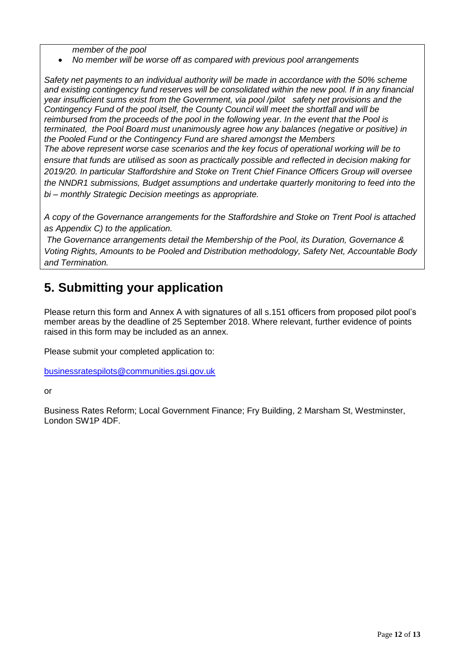*member of the pool* 

*No member will be worse off as compared with previous pool arrangements* 

*Safety net payments to an individual authority will be made in accordance with the 50% scheme and existing contingency fund reserves will be consolidated within the new pool. If in any financial year insufficient sums exist from the Government, via pool /pilot safety net provisions and the Contingency Fund of the pool itself, the County Council will meet the shortfall and will be reimbursed from the proceeds of the pool in the following year. In the event that the Pool is terminated, the Pool Board must unanimously agree how any balances (negative or positive) in the Pooled Fund or the Contingency Fund are shared amongst the Members The above represent worse case scenarios and the key focus of operational working will be to ensure that funds are utilised as soon as practically possible and reflected in decision making for 2019/20. In particular Staffordshire and Stoke on Trent Chief Finance Officers Group will oversee the NNDR1 submissions, Budget assumptions and undertake quarterly monitoring to feed into the bi – monthly Strategic Decision meetings as appropriate.* 

*A copy of the Governance arrangements for the Staffordshire and Stoke on Trent Pool is attached as Appendix C) to the application.*

*The Governance arrangements detail the Membership of the Pool, its Duration, Governance & Voting Rights, Amounts to be Pooled and Distribution methodology, Safety Net, Accountable Body and Termination.*

#### **5. Submitting your application**

Please return this form and Annex A with signatures of all s.151 officers from proposed pilot pool's member areas by the deadline of 25 September 2018. Where relevant, further evidence of points raised in this form may be included as an annex.

Please submit your completed application to:

[businessratespilots@communities.gsi.gov.uk](mailto:businessratespilots@communities.gsi.gov.uk) 

or

Business Rates Reform; Local Government Finance; Fry Building, 2 Marsham St, Westminster, London SW1P 4DF.